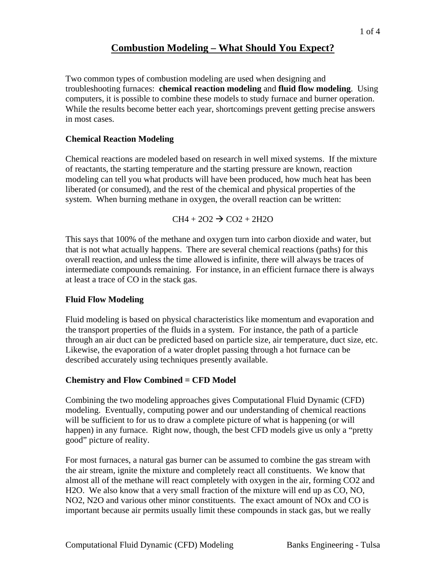# **Combustion Modeling – What Should You Expect?**

Two common types of combustion modeling are used when designing and troubleshooting furnaces: **chemical reaction modeling** and **fluid flow modeling**. Using computers, it is possible to combine these models to study furnace and burner operation. While the results become better each year, shortcomings prevent getting precise answers in most cases.

### **Chemical Reaction Modeling**

Chemical reactions are modeled based on research in well mixed systems. If the mixture of reactants, the starting temperature and the starting pressure are known, reaction modeling can tell you what products will have been produced, how much heat has been liberated (or consumed), and the rest of the chemical and physical properties of the system. When burning methane in oxygen, the overall reaction can be written:

 $CH4 + 2O2 \rightarrow CO2 + 2H2O$ 

This says that 100% of the methane and oxygen turn into carbon dioxide and water, but that is not what actually happens. There are several chemical reactions (paths) for this overall reaction, and unless the time allowed is infinite, there will always be traces of intermediate compounds remaining. For instance, in an efficient furnace there is always at least a trace of CO in the stack gas.

### **Fluid Flow Modeling**

Fluid modeling is based on physical characteristics like momentum and evaporation and the transport properties of the fluids in a system. For instance, the path of a particle through an air duct can be predicted based on particle size, air temperature, duct size, etc. Likewise, the evaporation of a water droplet passing through a hot furnace can be described accurately using techniques presently available.

# **Chemistry and Flow Combined = CFD Model**

Combining the two modeling approaches gives Computational Fluid Dynamic (CFD) modeling. Eventually, computing power and our understanding of chemical reactions will be sufficient to for us to draw a complete picture of what is happening (or will happen) in any furnace. Right now, though, the best CFD models give us only a "pretty good" picture of reality.

For most furnaces, a natural gas burner can be assumed to combine the gas stream with the air stream, ignite the mixture and completely react all constituents. We know that almost all of the methane will react completely with oxygen in the air, forming CO2 and H2O. We also know that a very small fraction of the mixture will end up as CO, NO, NO2, N2O and various other minor constituents. The exact amount of NOx and CO is important because air permits usually limit these compounds in stack gas, but we really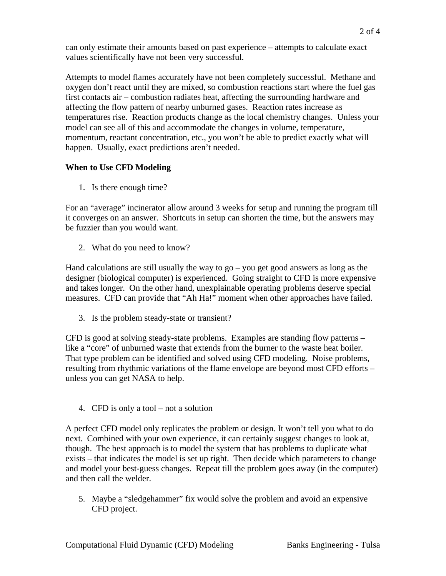can only estimate their amounts based on past experience – attempts to calculate exact values scientifically have not been very successful.

Attempts to model flames accurately have not been completely successful. Methane and oxygen don't react until they are mixed, so combustion reactions start where the fuel gas first contacts air – combustion radiates heat, affecting the surrounding hardware and affecting the flow pattern of nearby unburned gases. Reaction rates increase as temperatures rise. Reaction products change as the local chemistry changes. Unless your model can see all of this and accommodate the changes in volume, temperature, momentum, reactant concentration, etc., you won't be able to predict exactly what will happen. Usually, exact predictions aren't needed.

## **When to Use CFD Modeling**

1. Is there enough time?

For an "average" incinerator allow around 3 weeks for setup and running the program till it converges on an answer. Shortcuts in setup can shorten the time, but the answers may be fuzzier than you would want.

2. What do you need to know?

Hand calculations are still usually the way to  $go - you get good answers as long as the$ designer (biological computer) is experienced. Going straight to CFD is more expensive and takes longer. On the other hand, unexplainable operating problems deserve special measures. CFD can provide that "Ah Ha!" moment when other approaches have failed.

3. Is the problem steady-state or transient?

CFD is good at solving steady-state problems. Examples are standing flow patterns – like a "core" of unburned waste that extends from the burner to the waste heat boiler. That type problem can be identified and solved using CFD modeling. Noise problems, resulting from rhythmic variations of the flame envelope are beyond most CFD efforts – unless you can get NASA to help.

4. CFD is only a tool – not a solution

A perfect CFD model only replicates the problem or design. It won't tell you what to do next. Combined with your own experience, it can certainly suggest changes to look at, though. The best approach is to model the system that has problems to duplicate what exists – that indicates the model is set up right. Then decide which parameters to change and model your best-guess changes. Repeat till the problem goes away (in the computer) and then call the welder.

5. Maybe a "sledgehammer" fix would solve the problem and avoid an expensive CFD project.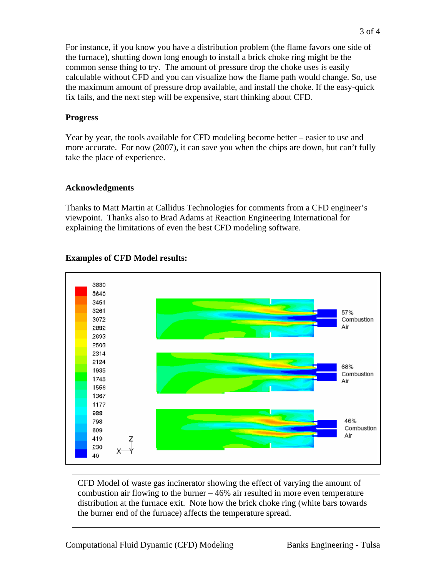For instance, if you know you have a distribution problem (the flame favors one side of the furnace), shutting down long enough to install a brick choke ring might be the common sense thing to try. The amount of pressure drop the choke uses is easily calculable without CFD and you can visualize how the flame path would change. So, use the maximum amount of pressure drop available, and install the choke. If the easy-quick fix fails, and the next step will be expensive, start thinking about CFD.

#### **Progress**

Year by year, the tools available for CFD modeling become better – easier to use and more accurate. For now (2007), it can save you when the chips are down, but can't fully take the place of experience.

### **Acknowledgments**

Thanks to Matt Martin at Callidus Technologies for comments from a CFD engineer's viewpoint. Thanks also to Brad Adams at Reaction Engineering International for explaining the limitations of even the best CFD modeling software.



### **Examples of CFD Model results:**

CFD Model of waste gas incinerator showing the effect of varying the amount of combustion air flowing to the burner  $-46\%$  air resulted in more even temperature distribution at the furnace exit. Note how the brick choke ring (white bars towards the burner end of the furnace) affects the temperature spread.